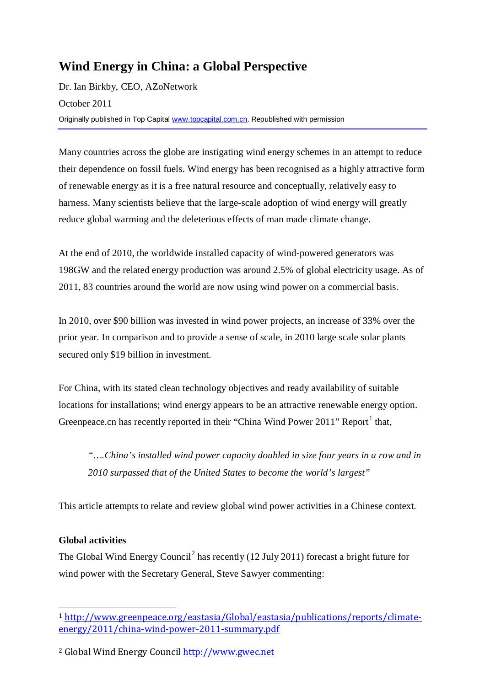# **Wind Energy in China: a Global Perspective**

Dr. Ian Birkby, CEO, AZoNetwork October 2011 Originally published in Top Capital [www.topcapital.com.cn.](http://www.topcapital.com.cn/) Republished with permission

Many countries across the globe are instigating wind energy schemes in an attempt to reduce their dependence on fossil fuels. Wind energy has been recognised as a highly attractive form of renewable energy as it is a free natural resource and conceptually, relatively easy to harness. Many scientists believe that the large-scale adoption of wind energy will greatly reduce global warming and the deleterious effects of man made climate change.

At the end of 2010, the worldwide installed capacity of wind-powered generators was 198GW and the related energy production was around 2.5% of global electricity usage. As of 2011, 83 countries around the world are now using wind power on a commercial basis.

In 2010, over \$90 billion was invested in wind power projects, an increase of 33% over the prior year. In comparison and to provide a sense of scale, in 2010 large scale solar plants secured only \$19 billion in investment.

For China, with its stated clean technology objectives and ready availability of suitable locations for installations; wind energy appears to be an attractive renewable energy option. Greenpeace.cn has recently reported in their "China Wind Power  $2011$  $2011$  $2011$ " Report<sup>1</sup> that,

*"….China's installed wind power capacity doubled in size four years in a row and in 2010 surpassed that of the United States to become the world's largest"*

This article attempts to relate and review global wind power activities in a Chinese context.

# **Global activities**

The Global Wind Energy Council<sup>[2](#page-0-1)</sup> has recently (12 July 2011) forecast a bright future for wind power with the Secretary General, Steve Sawyer commenting:

<span id="page-0-0"></span> <sup>1</sup> [http://www.greenpeace.org/eastasia/Global/eastasia/publications/reports/climate](http://www.greenpeace.org/eastasia/Global/eastasia/publications/reports/climate-energy/2011/china-wind-power-2011-summary.pdf)[energy/2011/china-wind-power-2011-summary.pdf](http://www.greenpeace.org/eastasia/Global/eastasia/publications/reports/climate-energy/2011/china-wind-power-2011-summary.pdf)

<span id="page-0-1"></span><sup>2</sup> Global Wind Energy Counci[l http://www.gwec.net](http://www.gwec.net/)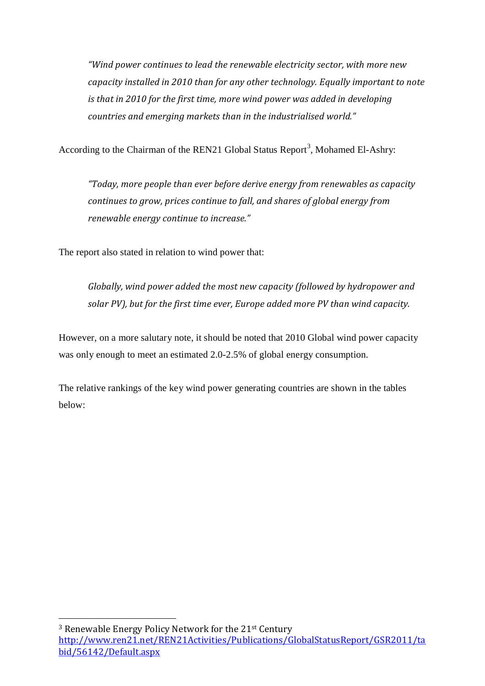*"Wind power continues to lead the renewable electricity sector, with more new capacity installed in 2010 than for any other technology. Equally important to note is that in 2010 for the first time, more wind power was added in developing countries and emerging markets than in the industrialised world."* 

According to the Chairman of the REN21 Global Status Report<sup>[3](#page-1-0)</sup>, Mohamed El-Ashry:

*"Today, more people than ever before derive energy from renewables as capacity continues to grow, prices continue to fall, and shares of global energy from renewable energy continue to increase."*

The report also stated in relation to wind power that:

*Globally, wind power added the most new capacity (followed by hydropower and solar PV), but for the first time ever, Europe added more PV than wind capacity.*

However, on a more salutary note, it should be noted that 2010 Global wind power capacity was only enough to meet an estimated 2.0-2.5% of global energy consumption.

The relative rankings of the key wind power generating countries are shown in the tables below:

<span id="page-1-0"></span> <sup>3</sup> Renewable Energy Policy Network for the 21st Century [http://www.ren21.net/REN21Activities/Publications/GlobalStatusReport/GSR2011/ta](http://www.ren21.net/REN21Activities/Publications/GlobalStatusReport/GSR2011/tabid/56142/Default.aspx) [bid/56142/Default.aspx](http://www.ren21.net/REN21Activities/Publications/GlobalStatusReport/GSR2011/tabid/56142/Default.aspx)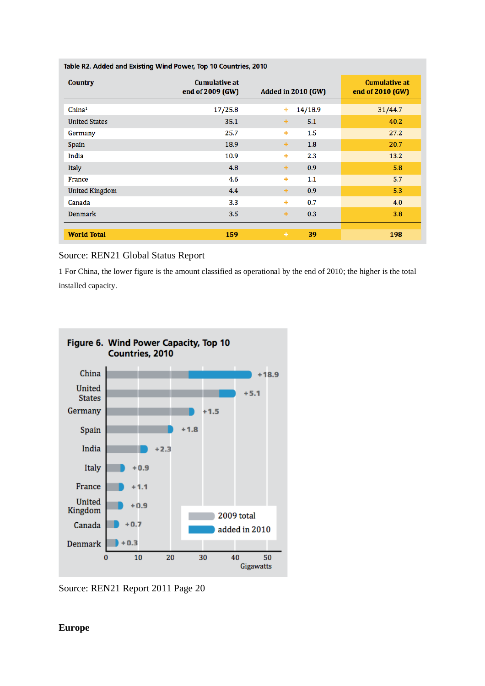| Table R2. Added and Existing Wind Power, Top 10 Countries, 2010 |                                          |                           |         |                                          |
|-----------------------------------------------------------------|------------------------------------------|---------------------------|---------|------------------------------------------|
| <b>Country</b>                                                  | <b>Cumulative at</b><br>end of 2009 (GW) | <b>Added in 2010 (GW)</b> |         | <b>Cumulative at</b><br>end of 2010 (GW) |
| China <sup>1</sup>                                              | 17/25.8                                  | ٠                         | 14/18.9 | 31/44.7                                  |
| <b>United States</b>                                            | 35.1                                     | ÷                         | 5.1     | 40.2                                     |
| Germany                                                         | 25.7                                     | ۰                         | 1.5     | 27.2                                     |
| Spain                                                           | 18.9                                     | ÷                         | 1.8     | 20.7                                     |
| India                                                           | 10.9                                     | ٠                         | 2.3     | 13.2                                     |
| Italy                                                           | 4.8                                      | ÷                         | 0.9     | 5.8                                      |
| France                                                          | 4.6                                      | ÷                         | 1.1     | 5.7                                      |
| <b>United Kingdom</b>                                           | 4.4                                      | ÷                         | 0.9     | 5.3                                      |
| Canada                                                          | 3.3                                      | ٠                         | 0.7     | 4.0                                      |
| <b>Denmark</b>                                                  | 3.5                                      | ÷                         | 0.3     | 3.8                                      |
| <b>World Total</b>                                              | 159                                      | ٠                         | 39      | 198                                      |

#### Source: REN21 Global Status Report

1 For China, the lower figure is the amount classified as operational by the end of 2010; the higher is the total installed capacity.



Source: REN21 Report 2011 Page 20

#### **Europe**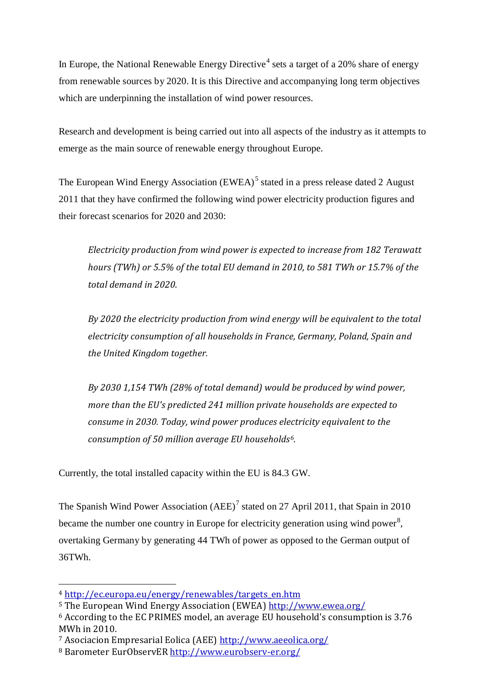In Europe, the National Renewable Energy Directive<sup>[4](#page-3-0)</sup> sets a target of a 20% share of energy from renewable sources by 2020. It is this Directive and accompanying long term objectives which are underpinning the installation of wind power resources.

Research and development is being carried out into all aspects of the industry as it attempts to emerge as the main source of renewable energy throughout Europe.

The European Wind Energy Association (EWEA)<sup>[5](#page-3-1)</sup> stated in a press release dated 2 August 2011 that they have confirmed the following wind power electricity production figures and their forecast scenarios for 2020 and 2030:

*Electricity production from wind power is expected to increase from 182 Terawatt hours (TWh) or 5.5% of the total EU demand in 2010, to 581 TWh or 15.7% of the total demand in 2020.* 

*By 2020 the electricity production from wind energy will be equivalent to the total electricity consumption of all households in France, Germany, Poland, Spain and the United Kingdom together.*

*By 2030 1,154 TWh (28% of total demand) would be produced by wind power, more than the EU's predicted 241 million private households are expected to consume in 2030. Today, wind power produces electricity equivalent to the consumption of 50 million average EU households[6.](#page-3-2)*

Currently, the total installed capacity within the EU is 84.3 GW.

The Spanish Wind Power Association (AEE)<sup>[7](#page-3-3)</sup> stated on 27 April 2011, that Spain in 2010 became the number one country in Europe for electricity generation using wind power<sup>[8](#page-3-4)</sup>, overtaking Germany by generating 44 TWh of power as opposed to the German output of 36TWh.

<sup>&</sup>lt;sup>4</sup> <u>[http://ec.europa.eu/energy/renewables/targets\\_en.htm](http://ec.europa.eu/energy/renewables/targets_en.htm)</u>

<span id="page-3-1"></span><span id="page-3-0"></span><sup>5</sup> The European Wind Energy Association (EWEA)<http://www.ewea.org/>

<span id="page-3-2"></span><sup>6</sup> According to the EC PRIMES model, an average EU household's consumption is 3.76 MWh in 2010.

<span id="page-3-3"></span><sup>7</sup> Asociacion Empresarial Eolica (AEE)<http://www.aeeolica.org/>

<span id="page-3-4"></span><sup>8</sup> Barometer EurObservER<http://www.eurobserv-er.org/>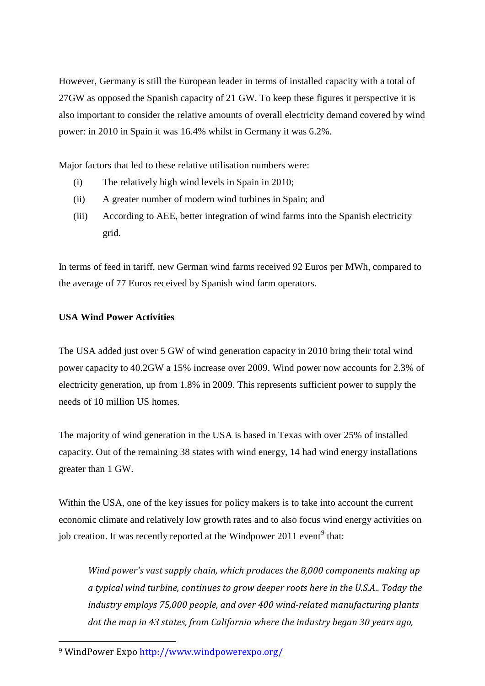However, Germany is still the European leader in terms of installed capacity with a total of 27GW as opposed the Spanish capacity of 21 GW. To keep these figures it perspective it is also important to consider the relative amounts of overall electricity demand covered by wind power: in 2010 in Spain it was 16.4% whilst in Germany it was 6.2%.

Major factors that led to these relative utilisation numbers were:

- (i) The relatively high wind levels in Spain in 2010;
- (ii) A greater number of modern wind turbines in Spain; and
- (iii) According to AEE, better integration of wind farms into the Spanish electricity grid.

In terms of feed in tariff, new German wind farms received 92 Euros per MWh, compared to the average of 77 Euros received by Spanish wind farm operators.

### **USA Wind Power Activities**

The USA added just over 5 GW of wind generation capacity in 2010 bring their total wind power capacity to 40.2GW a 15% increase over 2009. Wind power now accounts for 2.3% of electricity generation, up from 1.8% in 2009. This represents sufficient power to supply the needs of 10 million US homes.

The majority of wind generation in the USA is based in Texas with over 25% of installed capacity. Out of the remaining 38 states with wind energy, 14 had wind energy installations greater than 1 GW.

Within the USA, one of the key issues for policy makers is to take into account the current economic climate and relatively low growth rates and to also focus wind energy activities on job creation. It was recently reported at the Windpower 2011 event<sup>[9](#page-4-0)</sup> that:

*Wind power's vast supply chain, which produces the 8,000 components making up a typical wind turbine, continues to grow deeper roots here in the U.S.A.. Today the industry employs 75,000 people, and over 400 wind-related manufacturing plants dot the map in 43 states, from California where the industry began 30 years ago,* 

<span id="page-4-0"></span> <sup>9</sup> WindPower Expo<http://www.windpowerexpo.org/>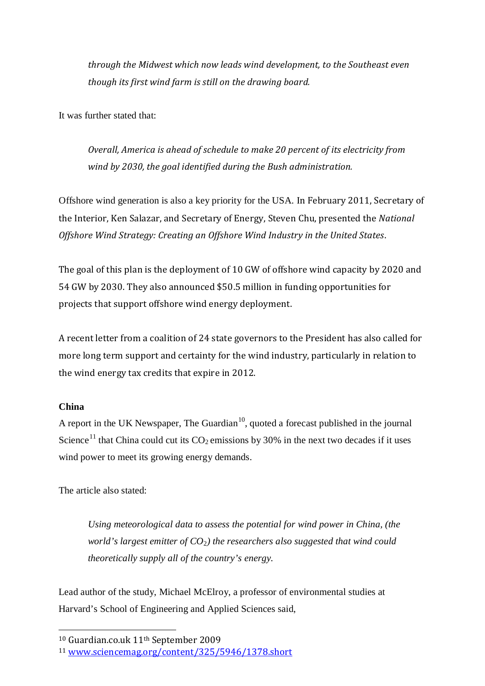*through the Midwest which now leads wind development, to the Southeast even though its first wind farm is still on the drawing board.*

It was further stated that:

*Overall, America is ahead of schedule to make 20 percent of its electricity from wind by 2030, the goal identified during the Bush administration.*

Offshore wind generation is also a key priority for the USA. In February 2011, Secretary of the Interior, Ken Salazar, and Secretary of Energy, Steven Chu, presented the *National Offshore Wind Strategy: Creating an Offshore Wind Industry in the United States*.

The goal of this plan is the deployment of 10 GW of offshore wind capacity by 2020 and 54 GW by 2030. They also announced \$50.5 million in funding opportunities for projects that support offshore wind energy deployment.

A recent letter from a coalition of 24 state governors to the President has also called for more long term support and certainty for the wind industry, particularly in relation to the wind energy tax credits that expire in 2012.

### **China**

A report in the UK Newspaper, The Guardian<sup>[10](#page-5-0)</sup>, quoted a forecast published in the journal Science<sup>[11](#page-5-1)</sup> that China could cut its  $CO_2$  emissions by 30% in the next two decades if it uses wind power to meet its growing energy demands.

The article also stated:

*Using meteorological data to assess the potential for wind power in China, (the world's largest emitter of CO*2*) the researchers also suggested that wind could theoretically supply all of the country's energy.* 

Lead author of the study, Michael McElroy, a professor of environmental studies at Harvard's School of Engineering and Applied Sciences said,

<span id="page-5-0"></span> <sup>10</sup> Guardian.co.uk 11th September 2009

<span id="page-5-1"></span><sup>11</sup> [www.sciencemag.org/content/325/5946/1378.short](http://www.sciencemag.org/content/325/5946/1378.short)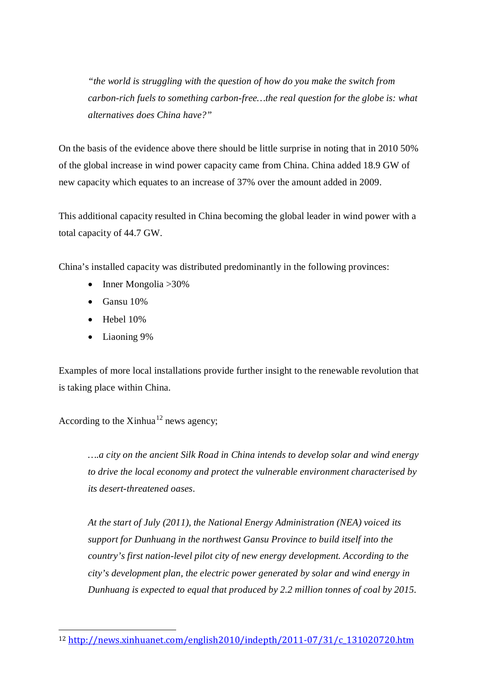*"the world is struggling with the question of how do you make the switch from carbon-rich fuels to something carbon-free…the real question for the globe is: what alternatives does China have?"*

On the basis of the evidence above there should be little surprise in noting that in 2010 50% of the global increase in wind power capacity came from China. China added 18.9 GW of new capacity which equates to an increase of 37% over the amount added in 2009.

This additional capacity resulted in China becoming the global leader in wind power with a total capacity of 44.7 GW.

China's installed capacity was distributed predominantly in the following provinces:

- Inner Mongolia > 30%
- Gansu 10%
- $\bullet$  Hebel 10%
- Liaoning 9%

Examples of more local installations provide further insight to the renewable revolution that is taking place within China.

According to the Xinhua $^{12}$  $^{12}$  $^{12}$  news agency;

*….a city on the ancient Silk Road in China intends to develop solar and wind energy to drive the local economy and protect the vulnerable environment characterised by its desert-threatened oases.* 

*At the start of July (2011), the National Energy Administration (NEA) voiced its support for Dunhuang in the northwest Gansu Province to build itself into the country's first nation-level pilot city of new energy development. According to the city's development plan, the electric power generated by solar and wind energy in Dunhuang is expected to equal that produced by 2.2 million tonnes of coal by 2015.* 

<span id="page-6-0"></span> <sup>12</sup> [http://news.xinhuanet.com/english2010/indepth/2011-07/31/c\\_131020720.htm](http://news.xinhuanet.com/english2010/indepth/2011-07/31/c_131020720.htm)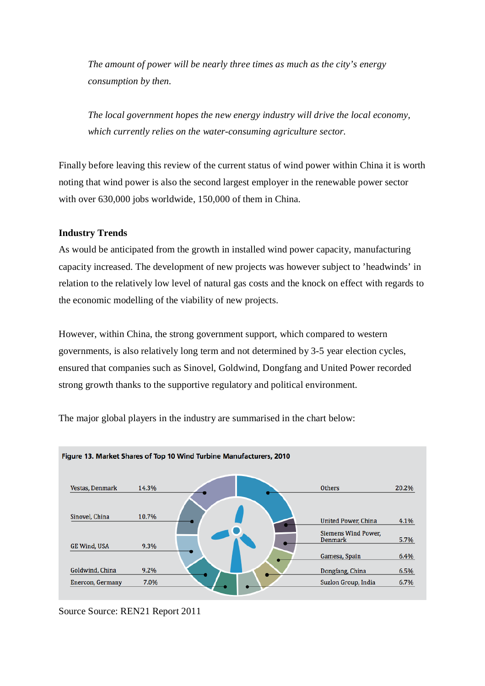*The amount of power will be nearly three times as much as the city's energy consumption by then.* 

*The local government hopes the new energy industry will drive the local economy, which currently relies on the water-consuming agriculture sector.* 

Finally before leaving this review of the current status of wind power within China it is worth noting that wind power is also the second largest employer in the renewable power sector with over 630,000 jobs worldwide, 150,000 of them in China.

### **Industry Trends**

As would be anticipated from the growth in installed wind power capacity, manufacturing capacity increased. The development of new projects was however subject to 'headwinds' in relation to the relatively low level of natural gas costs and the knock on effect with regards to the economic modelling of the viability of new projects.

However, within China, the strong government support, which compared to western governments, is also relatively long term and not determined by 3-5 year election cycles, ensured that companies such as Sinovel, Goldwind, Dongfang and United Power recorded strong growth thanks to the supportive regulatory and political environment.



The major global players in the industry are summarised in the chart below:

Source Source: REN21 Report 2011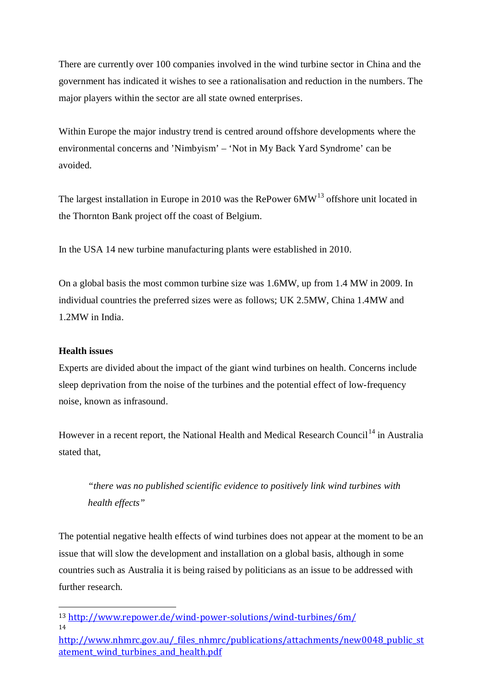There are currently over 100 companies involved in the wind turbine sector in China and the government has indicated it wishes to see a rationalisation and reduction in the numbers. The major players within the sector are all state owned enterprises.

Within Europe the major industry trend is centred around offshore developments where the environmental concerns and 'Nimbyism' – 'Not in My Back Yard Syndrome' can be avoided.

The largest installation in Europe in 2010 was the RePower  $6MW^{13}$  $6MW^{13}$  $6MW^{13}$  offshore unit located in the Thornton Bank project off the coast of Belgium.

In the USA 14 new turbine manufacturing plants were established in 2010.

On a global basis the most common turbine size was 1.6MW, up from 1.4 MW in 2009. In individual countries the preferred sizes were as follows; UK 2.5MW, China 1.4MW and 1.2MW in India.

# **Health issues**

Experts are divided about the impact of the giant wind turbines on health. Concerns include sleep deprivation from the noise of the turbines and the potential effect of low-frequency noise, known as infrasound.

However in a recent report, the National Health and Medical Research Council<sup>[14](#page-8-1)</sup> in Australia stated that,

*"there was no published scientific evidence to positively link wind turbines with health effects"*

The potential negative health effects of wind turbines does not appear at the moment to be an issue that will slow the development and installation on a global basis, although in some countries such as Australia it is being raised by politicians as an issue to be addressed with further research.

<span id="page-8-0"></span> <sup>13</sup> <http://www.repower.de/wind-power-solutions/wind-turbines/6m/> 14

<span id="page-8-1"></span>[http://www.nhmrc.gov.au/\\_files\\_nhmrc/publications/attachments/new0048\\_public\\_st](http://www.nhmrc.gov.au/_files_nhmrc/publications/attachments/new0048_public_statement_wind_turbines_and_health.pdf) atement wind turbines and health.pdf